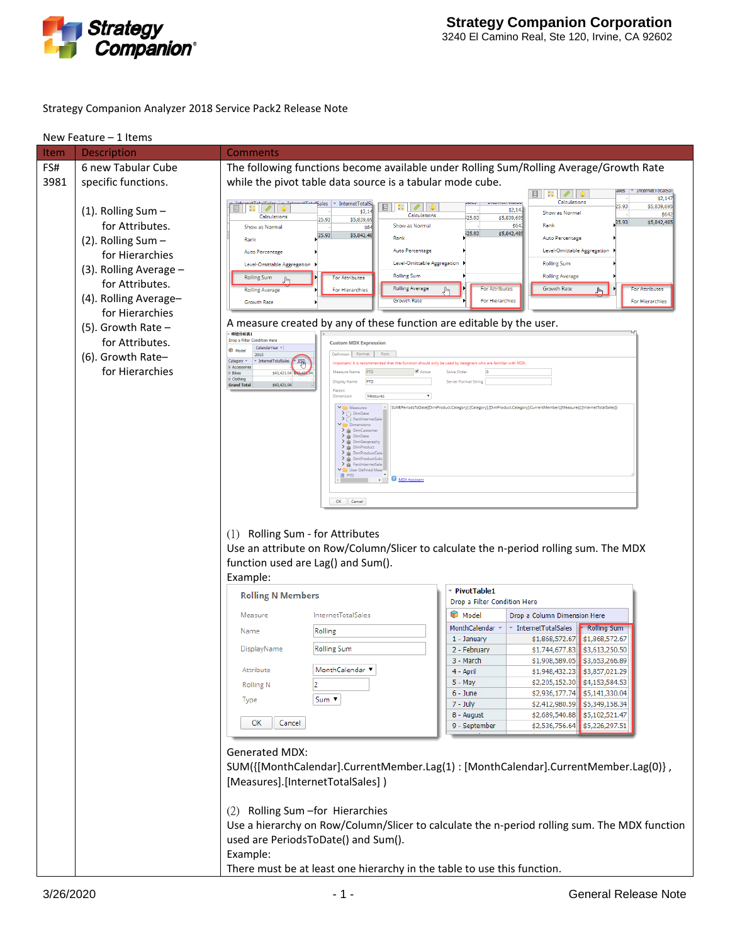

#### Strategy Companion Analyzer 2018 Service Pack2 Release Note

| Item | Description            | Comments                                                                                                                                                                                   |  |  |  |  |
|------|------------------------|--------------------------------------------------------------------------------------------------------------------------------------------------------------------------------------------|--|--|--|--|
| FS#  | 6 new Tabular Cube     | The following functions become available under Rolling Sum/Rolling Average/Growth Rate                                                                                                     |  |  |  |  |
| 3981 | specific functions.    | while the pivot table data source is a tabular mode cube.                                                                                                                                  |  |  |  |  |
|      |                        | Internet I otalsal<br><b>国   装引</b><br>$\mathscr{Q}$<br>\$2,147                                                                                                                            |  |  |  |  |
|      |                        | Calculations<br>$\sim$ InternetTotalS<br>"Sales<br>muur vuurus<br>25.93<br>\$5,839,695<br>誤<br>$E  \mathbf{x}  $ /<br>\$2,14]                                                              |  |  |  |  |
|      | $(1)$ . Rolling Sum -  | \$2,1<br>Show as Normal<br>\$642<br>Calculations<br>Calculations<br>\$5,839,695<br>25.93<br>25.93<br>\$5,839,69<br>\$5,842,485<br>25.93                                                    |  |  |  |  |
|      | for Attributes.        | Show as Normal<br>\$642<br>Rank<br>Show as Normal<br>\$64<br>\$5,842,485<br>25.93<br>25.93<br>\$5,842,48                                                                                   |  |  |  |  |
|      | (2). Rolling Sum -     | Rank<br>Auto Percentage<br>Rank                                                                                                                                                            |  |  |  |  |
|      | for Hierarchies        | Auto Percentage<br>Level-Omittable Aggregation<br>Auto Percentage                                                                                                                          |  |  |  |  |
|      | (3). Rolling Average - | Level-Omittable Aggregation<br><b>Rolling Sum</b><br>Level-Omittable Aggregation                                                                                                           |  |  |  |  |
|      | for Attributes.        | <b>Rolling Sum</b><br><b>Rolling Average</b><br><b>Rolling Sum</b><br>For Attributes                                                                                                       |  |  |  |  |
|      |                        | <b>Rolling Average</b><br>For Attributes<br><b>Growth Rate</b><br>For Attributes<br><b>Rolling Average</b><br>For Hierarchies<br>վհղ                                                       |  |  |  |  |
|      | (4). Rolling Average-  | <b>Growth Rate</b><br>For Hierarchies<br>For Hierarchies<br>Growth Rate                                                                                                                    |  |  |  |  |
|      | for Hierarchies        |                                                                                                                                                                                            |  |  |  |  |
|      | $(5)$ . Growth Rate -  | A measure created by any of these function are editable by the user.<br>粗纽分析表1                                                                                                             |  |  |  |  |
|      | for Attributes.        | Drop a Filter Condition Here<br><b>Custom MDX Expression</b>                                                                                                                               |  |  |  |  |
|      | (6). Growth Rate-      | CalendarYear =<br>Model<br>Definition Format<br>2010                                                                                                                                       |  |  |  |  |
|      | for Hierarchies        | Category<br>* InternetTotalSales<br>野<br>ed that this function should only be used by designers who are familiar with MDX<br>El Accessorio<br>Active<br>Measure Name<br>PTD<br>Solve Order |  |  |  |  |
|      |                        | <b>E</b> Bikes<br>\$43,421.04<br>F Clothing<br>PTD<br>Display Name<br>Server Format String<br><b>Grand Total</b><br>\$43,421.04                                                            |  |  |  |  |
|      |                        | Parent<br>Dimension<br>Measures                                                                                                                                                            |  |  |  |  |
|      |                        | $\vee$ $\Box$ Measures<br>SUM(PeriodsToDate([DimProduct.Category].[Category],[DimProduct.Category].CurrentMember),[Measures].[InternetTotalSales]]                                         |  |  |  |  |
|      |                        | "} DimDate<br>$\rightarrow$<br>> FactInternetSal                                                                                                                                           |  |  |  |  |
|      |                        | Dimensions<br>> & DimCustom<br>> & DimDate                                                                                                                                                 |  |  |  |  |
|      |                        | $\sum$ $\triangle$ DimGeograph<br>$\sum$ $\frac{1}{20}$ DimProduct                                                                                                                         |  |  |  |  |
|      |                        | > DimProductCate<br>$\sum$ se DimProductSub                                                                                                                                                |  |  |  |  |
|      |                        | > FactInternetSale<br>User Defined Meas<br>画 PTD                                                                                                                                           |  |  |  |  |
|      |                        | MDX Assistant                                                                                                                                                                              |  |  |  |  |
|      |                        |                                                                                                                                                                                            |  |  |  |  |
|      |                        | OK Cancel                                                                                                                                                                                  |  |  |  |  |
|      |                        |                                                                                                                                                                                            |  |  |  |  |
|      |                        | (1) Rolling Sum - for Attributes                                                                                                                                                           |  |  |  |  |
|      |                        | Use an attribute on Row/Column/Slicer to calculate the n-period rolling sum. The MDX                                                                                                       |  |  |  |  |
|      |                        | function used are Lag() and Sum().                                                                                                                                                         |  |  |  |  |
|      |                        | Example:                                                                                                                                                                                   |  |  |  |  |
|      |                        | PivotTable1                                                                                                                                                                                |  |  |  |  |
|      |                        | <b>Rolling N Members</b><br>Drop a Filter Condition Here                                                                                                                                   |  |  |  |  |
|      |                        | Model<br><b>InternetTotalSales</b><br>Drop a Column Dimension Here<br>Measure                                                                                                              |  |  |  |  |
|      |                        | MonthCalendar ~<br>InternetTotalSales<br>Rolling Sum<br>Rolling<br>Name                                                                                                                    |  |  |  |  |
|      |                        | 1 - January<br>$$1,868,572.67$ \$1,868,572.67                                                                                                                                              |  |  |  |  |
|      |                        | <b>Rolling Sum</b><br>DisplayName<br>\$1,744,677.83 \$3,613,250.50<br>2 - February                                                                                                         |  |  |  |  |
|      |                        | 3 - March<br>$$1,908,589.05$ \$3,653,266.89<br>MonthCalendar ▼<br>Attribute                                                                                                                |  |  |  |  |
|      |                        | 4 - April<br>$$1,948,432.23$ \$3,857,021.29<br>\$2,205,152.30 \$4,153,584.53<br>5 - May                                                                                                    |  |  |  |  |
|      |                        | <b>Rolling N</b><br>\$2,936,177.74 \$5,141,330.04<br>6 - June                                                                                                                              |  |  |  |  |
|      |                        | Sum ▼<br>Type<br>$7 - July$<br>\$2,412,980.59 \$5,349,158.34                                                                                                                               |  |  |  |  |
|      |                        | \$2,689,540.88 \$5,102,521.47<br>8 - August                                                                                                                                                |  |  |  |  |
|      |                        | Cancel<br>ок<br>9 - September<br>\$2,536,756.64 \$5,226,297.51                                                                                                                             |  |  |  |  |
|      |                        |                                                                                                                                                                                            |  |  |  |  |
|      |                        | <b>Generated MDX:</b>                                                                                                                                                                      |  |  |  |  |
|      |                        | SUM({[MonthCalendar].CurrentMember.Lag(1): [MonthCalendar].CurrentMember.Lag(0)},                                                                                                          |  |  |  |  |
|      |                        | [Measures].[InternetTotalSales])                                                                                                                                                           |  |  |  |  |
|      |                        |                                                                                                                                                                                            |  |  |  |  |
|      |                        |                                                                                                                                                                                            |  |  |  |  |
|      |                        | (2) Rolling Sum - for Hierarchies                                                                                                                                                          |  |  |  |  |
|      |                        | Use a hierarchy on Row/Column/Slicer to calculate the n-period rolling sum. The MDX function                                                                                               |  |  |  |  |
|      |                        | used are PeriodsToDate() and Sum().                                                                                                                                                        |  |  |  |  |
|      |                        | Example:                                                                                                                                                                                   |  |  |  |  |
|      |                        | There must be at least one hierarchy in the table to use this function.                                                                                                                    |  |  |  |  |
|      |                        |                                                                                                                                                                                            |  |  |  |  |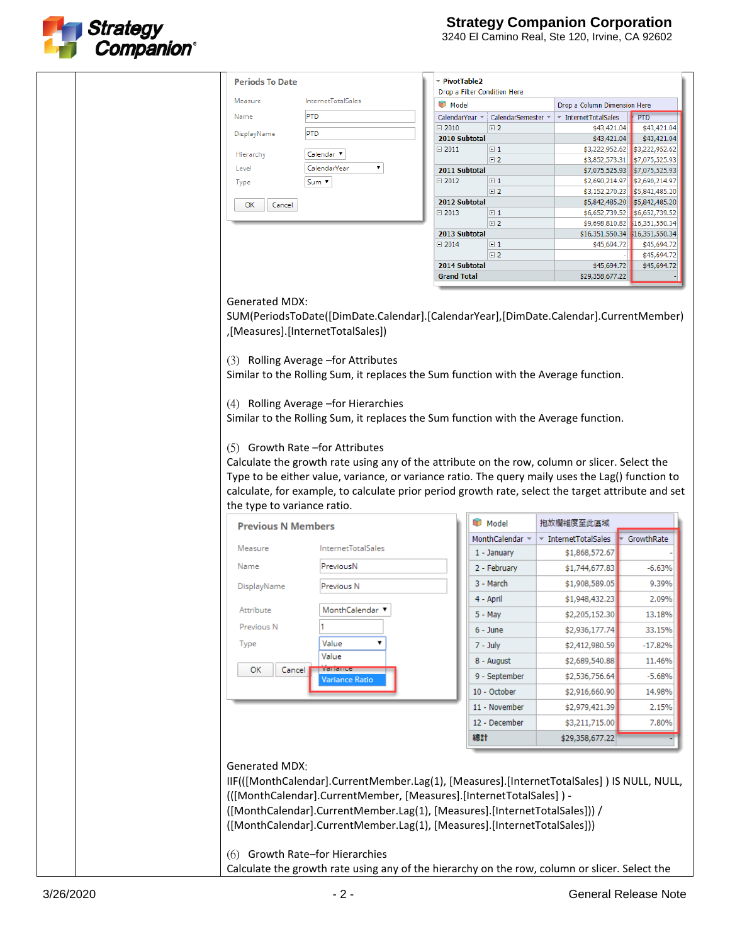

| <b>Periods To Date</b>      |                                                                                                                                                                                                                                                                                                                             | ™ PivotTable2                                     |                                                      |                                                                |
|-----------------------------|-----------------------------------------------------------------------------------------------------------------------------------------------------------------------------------------------------------------------------------------------------------------------------------------------------------------------------|---------------------------------------------------|------------------------------------------------------|----------------------------------------------------------------|
| Measure                     | <b>InternetTotalSales</b>                                                                                                                                                                                                                                                                                                   | Drop a Filter Condition Here<br>Model             |                                                      |                                                                |
| Name                        | PTD                                                                                                                                                                                                                                                                                                                         | CalendarYear ~<br>CalendarSemester                | Drop a Column Dimension Here<br>* InternetTotalSales | <b>PTD</b>                                                     |
| DisplayName                 | <b>PTD</b>                                                                                                                                                                                                                                                                                                                  | $\boxminus$ 2010<br>E2                            | \$43,421.04                                          | \$43,421.04                                                    |
|                             |                                                                                                                                                                                                                                                                                                                             | 2010 Subtotal<br>$\boxminus$ 2011<br>$\boxplus$ 1 | \$43,421.04                                          | \$43,421.04<br>\$3,222,952.62 \$3,222,952.62                   |
| Hierarchy                   | Calendar <sup>v</sup>                                                                                                                                                                                                                                                                                                       | $E$ 2                                             |                                                      | \$3,852,573.31 \$7,075,525.93                                  |
| Level                       | ۷.<br>CalendarYear                                                                                                                                                                                                                                                                                                          | 2011 Subtotal                                     | \$7,075,525.93                                       | \$7,075,525.93                                                 |
| Type                        | Sum v                                                                                                                                                                                                                                                                                                                       | $\boxplus$ 1<br>$\boxminus$ 2012<br>$E$ 2         |                                                      | \$2,690,214.97 \$2,690,214.97<br>\$3,152,270.23 \$5,842,485.20 |
| ОК<br>Cancel                |                                                                                                                                                                                                                                                                                                                             | 2012 Subtotal                                     |                                                      | \$5,842,485.20 \$5,842,485.20                                  |
|                             |                                                                                                                                                                                                                                                                                                                             | $\boxminus$ 2013<br>$\boxplus$ 1                  |                                                      | \$6,652,739.52 \$6,652,739.52                                  |
|                             |                                                                                                                                                                                                                                                                                                                             | $E$ 2<br>2013 Subtotal                            | \$16,351,550.34 \$16,351,550.34                      | \$9,698,810.82 \$16,351,550.34                                 |
|                             |                                                                                                                                                                                                                                                                                                                             | $\boxminus$ 2014<br>$\boxplus$ 1                  | \$45,694.72                                          | \$45,694.72                                                    |
|                             |                                                                                                                                                                                                                                                                                                                             | $E$ 2<br>2014 Subtotal                            | \$45,694.72                                          | \$45,694.72<br>\$45,694.72                                     |
|                             |                                                                                                                                                                                                                                                                                                                             | <b>Grand Total</b>                                | \$29,358,677.22                                      |                                                                |
|                             |                                                                                                                                                                                                                                                                                                                             |                                                   |                                                      |                                                                |
| <b>Generated MDX:</b>       |                                                                                                                                                                                                                                                                                                                             |                                                   |                                                      |                                                                |
|                             | SUM(PeriodsToDate([DimDate.Calendar].[CalendarYear],[DimDate.Calendar].CurrentMember)<br>,[Measures].[InternetTotalSales])<br>(3) Rolling Average -for Attributes                                                                                                                                                           |                                                   |                                                      |                                                                |
|                             | Similar to the Rolling Sum, it replaces the Sum function with the Average function.                                                                                                                                                                                                                                         |                                                   |                                                      |                                                                |
|                             |                                                                                                                                                                                                                                                                                                                             |                                                   |                                                      |                                                                |
|                             | (4) Rolling Average -for Hierarchies<br>Similar to the Rolling Sum, it replaces the Sum function with the Average function.                                                                                                                                                                                                 |                                                   |                                                      |                                                                |
|                             |                                                                                                                                                                                                                                                                                                                             |                                                   |                                                      |                                                                |
|                             | (5) Growth Rate -for Attributes                                                                                                                                                                                                                                                                                             |                                                   |                                                      |                                                                |
|                             | Calculate the growth rate using any of the attribute on the row, column or slicer. Select the                                                                                                                                                                                                                               |                                                   |                                                      |                                                                |
|                             | Type to be either value, variance, or variance ratio. The query maily uses the Lag() function to                                                                                                                                                                                                                            |                                                   |                                                      |                                                                |
|                             | calculate, for example, to calculate prior period growth rate, select the target attribute and set                                                                                                                                                                                                                          |                                                   |                                                      |                                                                |
| the type to variance ratio. |                                                                                                                                                                                                                                                                                                                             |                                                   |                                                      |                                                                |
| <b>Previous N Members</b>   |                                                                                                                                                                                                                                                                                                                             | Model                                             | 拖放欄維度至此區域                                            |                                                                |
|                             |                                                                                                                                                                                                                                                                                                                             | MonthCalendar =                                   | ▼ InternetTotalSales                                 | GrowthRate                                                     |
| Measure                     | <b>InternetTotalSales</b>                                                                                                                                                                                                                                                                                                   | 1 - January                                       | \$1,868,572.67                                       |                                                                |
| Name                        | PreviousN                                                                                                                                                                                                                                                                                                                   | 2 - February                                      | \$1,744,677.83                                       | $-6.63%$                                                       |
| DisplayName                 | Previous N                                                                                                                                                                                                                                                                                                                  | 3 - March                                         | \$1,908,589.05                                       | 9.39%                                                          |
|                             |                                                                                                                                                                                                                                                                                                                             | 4 - April                                         | \$1,948,432.23                                       | 2.09%                                                          |
| Attribute                   | MonthCalendar ▼                                                                                                                                                                                                                                                                                                             | $5 - May$                                         | \$2,205,152.30                                       | 13.18%                                                         |
| Previous N                  |                                                                                                                                                                                                                                                                                                                             | 6 - June                                          | \$2,936,177.74                                       | 33.15%                                                         |
| <b>Type</b>                 | Value                                                                                                                                                                                                                                                                                                                       | 7 - July                                          | \$2,412,980.59                                       | $-17.82%$                                                      |
|                             | Value                                                                                                                                                                                                                                                                                                                       | 8 - August                                        | \$2,689,540.88                                       | 11.46%                                                         |
| ОК<br>Cancel                | variane                                                                                                                                                                                                                                                                                                                     | 9 - September                                     | \$2,536,756.64                                       | $-5.68%$                                                       |
|                             | <b>Variance Ratio</b>                                                                                                                                                                                                                                                                                                       | 10 - October                                      |                                                      | 14.98%                                                         |
|                             |                                                                                                                                                                                                                                                                                                                             | 11 - November                                     | \$2,916,660.90                                       |                                                                |
|                             |                                                                                                                                                                                                                                                                                                                             |                                                   | \$2,979,421.39                                       | 2.15%                                                          |
|                             |                                                                                                                                                                                                                                                                                                                             | 12 - December                                     | \$3,211,715.00                                       | 7.80%                                                          |
|                             |                                                                                                                                                                                                                                                                                                                             | 總計                                                | \$29,358,677.22                                      |                                                                |
| Generated MDX:              | IIF(([MonthCalendar].CurrentMember.Lag(1), [Measures].[InternetTotalSales]) IS NULL, NULL,<br>(([MonthCalendar].CurrentMember, [Measures].[InternetTotalSales]) -<br>([MonthCalendar].CurrentMember.Lag(1), [Measures].[InternetTotalSales])) /<br>([MonthCalendar].CurrentMember.Lag(1), [Measures].[InternetTotalSales])) |                                                   |                                                      |                                                                |
|                             | (6) Growth Rate-for Hierarchies<br>Calculate the growth rate using any of the hierarchy on the row, column or slicer. Select the                                                                                                                                                                                            |                                                   |                                                      |                                                                |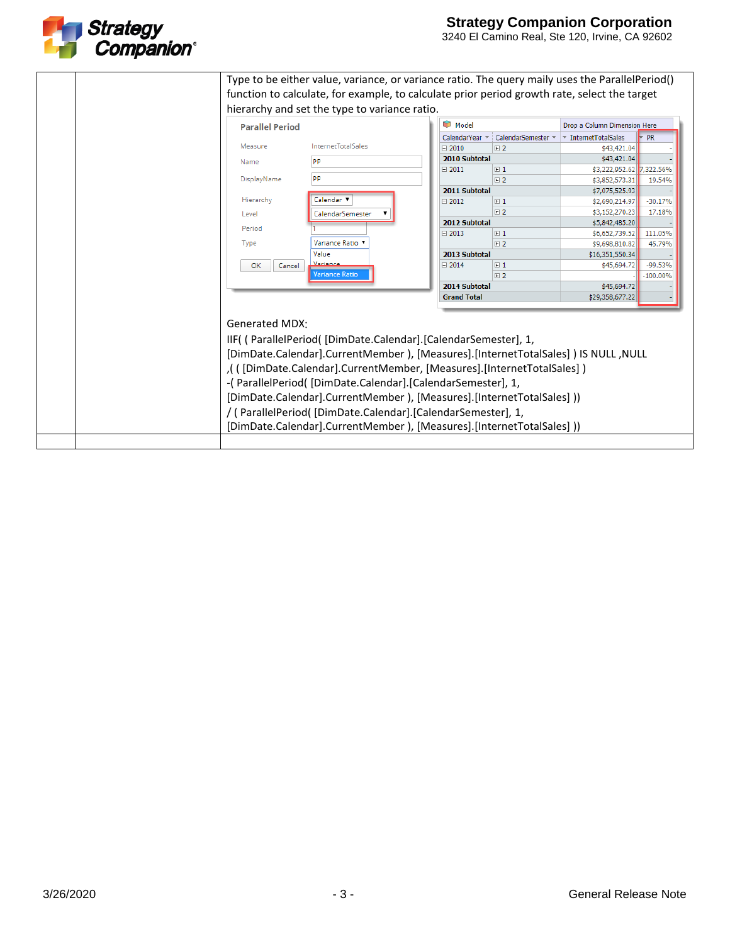

| <b>Parallel Period</b>     |                                                                                                                                                                                                                                                                                               | Model              |                  | Drop a Column Dimension Here                |                                                                                                                                         |  |
|----------------------------|-----------------------------------------------------------------------------------------------------------------------------------------------------------------------------------------------------------------------------------------------------------------------------------------------|--------------------|------------------|---------------------------------------------|-----------------------------------------------------------------------------------------------------------------------------------------|--|
|                            |                                                                                                                                                                                                                                                                                               | CalendarYear =     | CalendarSemester | $\overline{\phantom{a}}$ InternetTotalSales | <b>PR</b>                                                                                                                               |  |
| Measure                    | <b>InternetTotalSales</b>                                                                                                                                                                                                                                                                     | $\boxdot$ 2010     | 田2               | \$43,421.04                                 |                                                                                                                                         |  |
| Name                       | <b>PP</b>                                                                                                                                                                                                                                                                                     | 2010 Subtotal      |                  | \$43,421.04                                 |                                                                                                                                         |  |
|                            |                                                                                                                                                                                                                                                                                               | $\boxminus$ 2011   | $\boxplus$ 1     | \$3,222,952.62                              | 7,322.56%                                                                                                                               |  |
| DisplayName                | <b>PP</b>                                                                                                                                                                                                                                                                                     |                    | $\boxplus$ 2     | \$3,852,573.31                              | 19.54%                                                                                                                                  |  |
|                            |                                                                                                                                                                                                                                                                                               | 2011 Subtotal      |                  | \$7,075,525.93                              |                                                                                                                                         |  |
| Hierarchy                  | Calendar <sup>v</sup>                                                                                                                                                                                                                                                                         | $\boxminus$ 2012   | $\boxplus$ 1     | \$2,690,214.97                              | $-30.17%$                                                                                                                               |  |
| Level                      | CalendarSemester                                                                                                                                                                                                                                                                              |                    | 日2               | \$3,152,270.23                              | 17.18%                                                                                                                                  |  |
|                            |                                                                                                                                                                                                                                                                                               | 2012 Subtotal      |                  | \$5,842,485.20                              |                                                                                                                                         |  |
| Period                     |                                                                                                                                                                                                                                                                                               | $\boxminus$ 2013   | $\boxplus$ 1     | \$6,652,739.52                              | 111.05%                                                                                                                                 |  |
| Type                       | Variance Ratio                                                                                                                                                                                                                                                                                |                    | $E$ 2            | \$9,698,810.82                              | 45.79%                                                                                                                                  |  |
|                            | Value                                                                                                                                                                                                                                                                                         | 2013 Subtotal      |                  | \$16,351,550.34                             |                                                                                                                                         |  |
| ОК<br>Cancel               |                                                                                                                                                                                                                                                                                               | $\boxminus$ 2014   | $\boxplus$ 1     | \$45,694.72                                 | $-99.53%$                                                                                                                               |  |
|                            | <b>Variance Ratio</b>                                                                                                                                                                                                                                                                         |                    | $\boxplus$ 2     |                                             | $-100.00%$                                                                                                                              |  |
|                            |                                                                                                                                                                                                                                                                                               | 2014 Subtotal      |                  | \$45,694.72                                 |                                                                                                                                         |  |
|                            |                                                                                                                                                                                                                                                                                               | <b>Grand Total</b> |                  | \$29,358,677.22                             |                                                                                                                                         |  |
| Generated MDX <sup>.</sup> | IIF( (ParallelPeriod( [DimDate.Calendar]. [CalendarSemester], 1,<br>[DimDate.Calendar].CurrentMember ), [Measures].[InternetTotalSales] ) IS NULL ,NULL<br>((DimDate.Calendar].CurrentMember, [Measures].[InternetTotalSales]),<br>-(ParallelPeriod([DimDate.Calendar].[CalendarSemester], 1, |                    |                  |                                             |                                                                                                                                         |  |
|                            |                                                                                                                                                                                                                                                                                               |                    |                  |                                             | [DimDate.Calendar].CurrentMember ), [Measures].[InternetTotalSales] ))<br>/ (ParallelPeriod( [DimDate.Calendar]. [CalendarSemester], 1, |  |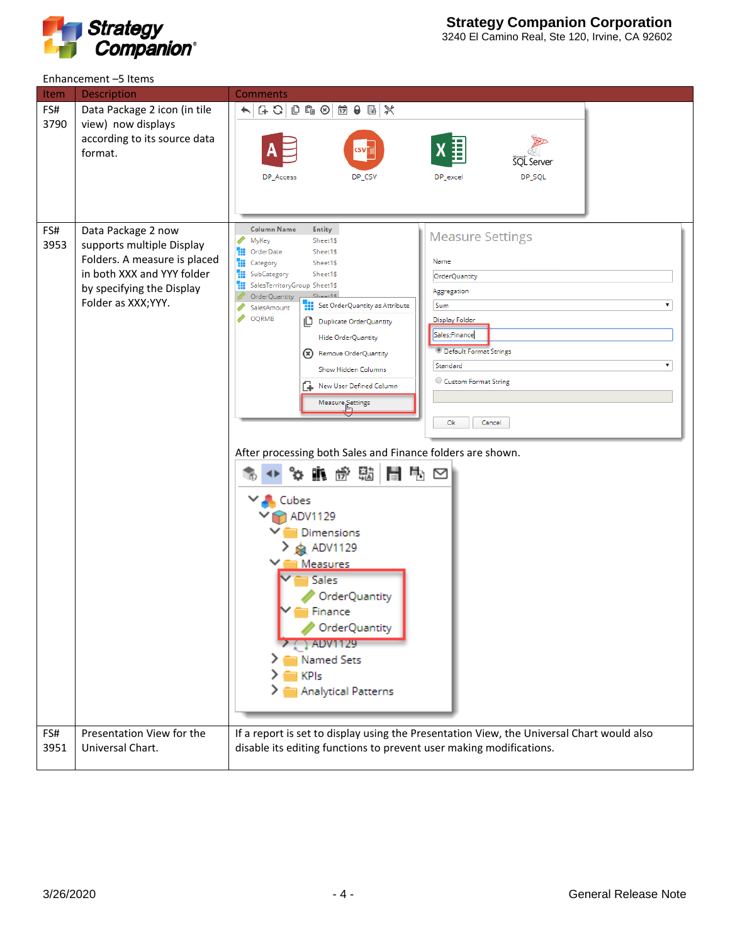

|                    | Enhancement-5 Items                                                                                                                         |                                                                                                                                                                                                                                                                                                                                                                                                                                                                                                                                                                                                                                                                                                                                                                                                                                                       |  |  |  |  |
|--------------------|---------------------------------------------------------------------------------------------------------------------------------------------|-------------------------------------------------------------------------------------------------------------------------------------------------------------------------------------------------------------------------------------------------------------------------------------------------------------------------------------------------------------------------------------------------------------------------------------------------------------------------------------------------------------------------------------------------------------------------------------------------------------------------------------------------------------------------------------------------------------------------------------------------------------------------------------------------------------------------------------------------------|--|--|--|--|
| Item               | <b>Description</b>                                                                                                                          | <b>Comments</b>                                                                                                                                                                                                                                                                                                                                                                                                                                                                                                                                                                                                                                                                                                                                                                                                                                       |  |  |  |  |
| FS#<br>3790<br>FS# | Data Package 2 icon (in tile<br>view) now displays<br>according to its source data<br>format.<br>Data Package 2 now                         | $G \cdot G \mid C \mid G \mid G \mid G \mid G \mid G \mid K$<br>$\blacktriangle$ .<br><b>SQL</b> Server<br>DP_SQL<br>DP_Access<br>DP_CSV<br>DP_excel<br>Column Name<br><b>Entity</b><br><b>Measure Settings</b><br>MyKey<br>Sheet1\$                                                                                                                                                                                                                                                                                                                                                                                                                                                                                                                                                                                                                  |  |  |  |  |
| 3953               | supports multiple Display<br>Folders. A measure is placed<br>in both XXX and YYY folder<br>by specifying the Display<br>Folder as XXX; YYY. | OrderDate<br>ж<br>Sheet1\$<br>Name<br>m<br>Category<br>Sheet1\$<br>m<br>SubCategory<br>Sheet1\$<br>OrderQuantity<br>m<br>SalesTerritoryGroup Sheet1\$<br>Aggregation<br>ShaafC<br>OrderQuantity<br>Set OrderQuantity as Attribute<br>Sum<br>▼<br>SalesAmount<br>OQRMB<br>Display Folder<br>D Duplicate OrderQuantity<br>Sales;Finance<br>Hide OrderQuantity<br><b>Default Format Strings</b><br>(*) Remove OrderQuantity<br>Standard<br>۷.<br>Show Hidden Columns<br>Custom Format String<br>ſ÷.<br>New User Defined Column<br>Measure Settings<br>Ok<br>Cancel<br>After processing both Sales and Finance folders are shown.<br>타.<br>펾<br>骨<br>⊪ ∯<br>Ŋ<br>ъ<br>Cubes<br>ADV1129<br>Dimensions<br>ADV1129<br>i Measures<br>Sales<br>OrderQuantity<br>Finance<br>OrderQuantity<br><b>ADV1129</b><br>Named Sets<br><b>KPIs</b><br>Analytical Patterns |  |  |  |  |
| FS#                | Presentation View for the                                                                                                                   | If a report is set to display using the Presentation View, the Universal Chart would also                                                                                                                                                                                                                                                                                                                                                                                                                                                                                                                                                                                                                                                                                                                                                             |  |  |  |  |
| 3951               | Universal Chart.                                                                                                                            | disable its editing functions to prevent user making modifications.                                                                                                                                                                                                                                                                                                                                                                                                                                                                                                                                                                                                                                                                                                                                                                                   |  |  |  |  |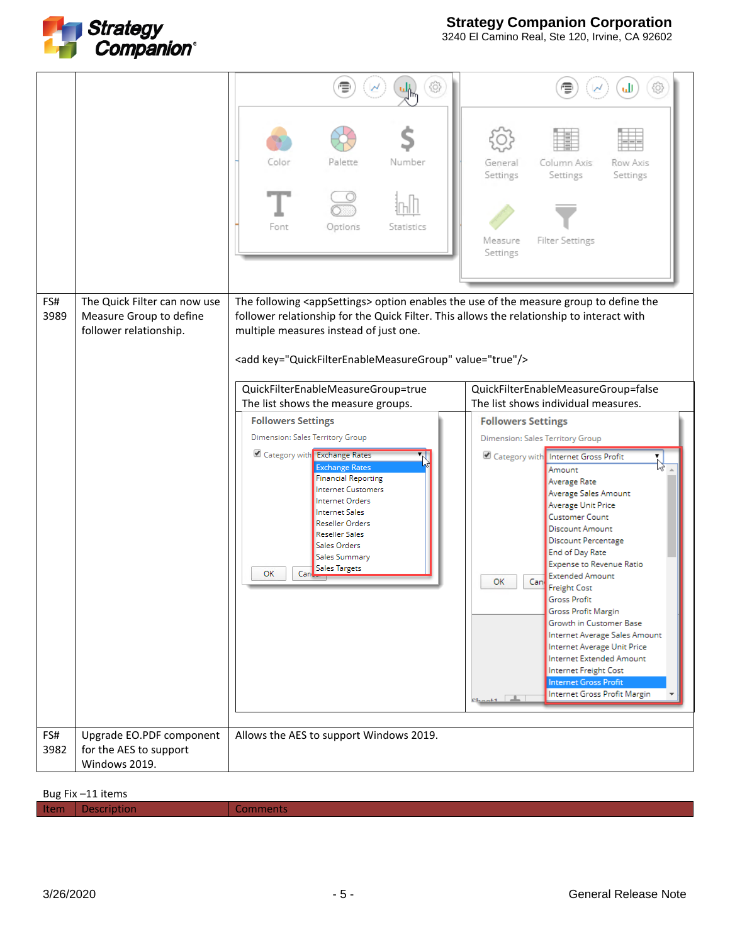

3240 El Camino Real, Ste 120, Irvine, CA 92602

|             |                                                                                   | Color<br>Number<br>Palette<br>Options<br>Font<br>Statistics                                                                                                                                                                                                                                                                                                                                                                                                                                                                                                                                                                                                                                                                                            | Column Axis<br>Row Axis<br>General<br>Settings<br>Settings<br>Settings<br>Measure<br><b>Filter Settings</b><br>Settings                                                                                                                                                                                                                                                                                                                                                                                                                                                                                                                                                                                                                                      |
|-------------|-----------------------------------------------------------------------------------|--------------------------------------------------------------------------------------------------------------------------------------------------------------------------------------------------------------------------------------------------------------------------------------------------------------------------------------------------------------------------------------------------------------------------------------------------------------------------------------------------------------------------------------------------------------------------------------------------------------------------------------------------------------------------------------------------------------------------------------------------------|--------------------------------------------------------------------------------------------------------------------------------------------------------------------------------------------------------------------------------------------------------------------------------------------------------------------------------------------------------------------------------------------------------------------------------------------------------------------------------------------------------------------------------------------------------------------------------------------------------------------------------------------------------------------------------------------------------------------------------------------------------------|
|             |                                                                                   |                                                                                                                                                                                                                                                                                                                                                                                                                                                                                                                                                                                                                                                                                                                                                        |                                                                                                                                                                                                                                                                                                                                                                                                                                                                                                                                                                                                                                                                                                                                                              |
| FS#<br>3989 | The Quick Filter can now use<br>Measure Group to define<br>follower relationship. | The following <appsettings> option enables the use of the measure group to define the<br/>follower relationship for the Quick Filter. This allows the relationship to interact with<br/>multiple measures instead of just one.<br/><add key="QuickFilterEnableMeasureGroup" value="true"></add><br/>QuickFilterEnableMeasureGroup=true<br/>The list shows the measure groups.<br/><b>Followers Settings</b><br/>Dimension: Sales Territory Group<br/>Category with Exchange Rates<br/><b>Exchange Rates</b><br/><b>Financial Reporting</b><br/><b>Internet Customers</b><br/>Internet Orders<br/><b>Internet Sales</b><br/>Reseller Orders<br/><b>Reseller Sales</b><br/>Sales Orders<br/>Sales Summary<br/>Sales Targets<br/>OK<br/>Can</appsettings> | QuickFilterEnableMeasureGroup=false<br>The list shows individual measures.<br><b>Followers Settings</b><br>Dimension: Sales Territory Group<br>Category with Internet Gross Profit<br>Amount<br>Average Rate<br>Average Sales Amount<br>Average Unit Price<br><b>Customer Count</b><br><b>Discount Amount</b><br><b>Discount Percentage</b><br>End of Day Rate<br>Expense to Revenue Ratio<br><b>Extended Amount</b><br>Can<br>ОК<br><b>Freight Cost</b><br><b>Gross Profit</b><br><b>Gross Profit Margin</b><br>Growth in Customer Base<br>Internet Average Sales Amount<br>Internet Average Unit Price<br>Internet Extended Amount<br>Internet Freight Cost<br><b>Internet Gross Profit</b><br>Internet Gross Profit Margin<br>$ch_{2n+1}$ $\boxed{\perp}$ |
| FS#<br>3982 | Upgrade EO.PDF component<br>for the AES to support<br>Windows 2019.               | Allows the AES to support Windows 2019.                                                                                                                                                                                                                                                                                                                                                                                                                                                                                                                                                                                                                                                                                                                |                                                                                                                                                                                                                                                                                                                                                                                                                                                                                                                                                                                                                                                                                                                                                              |

Bug Fix –11 items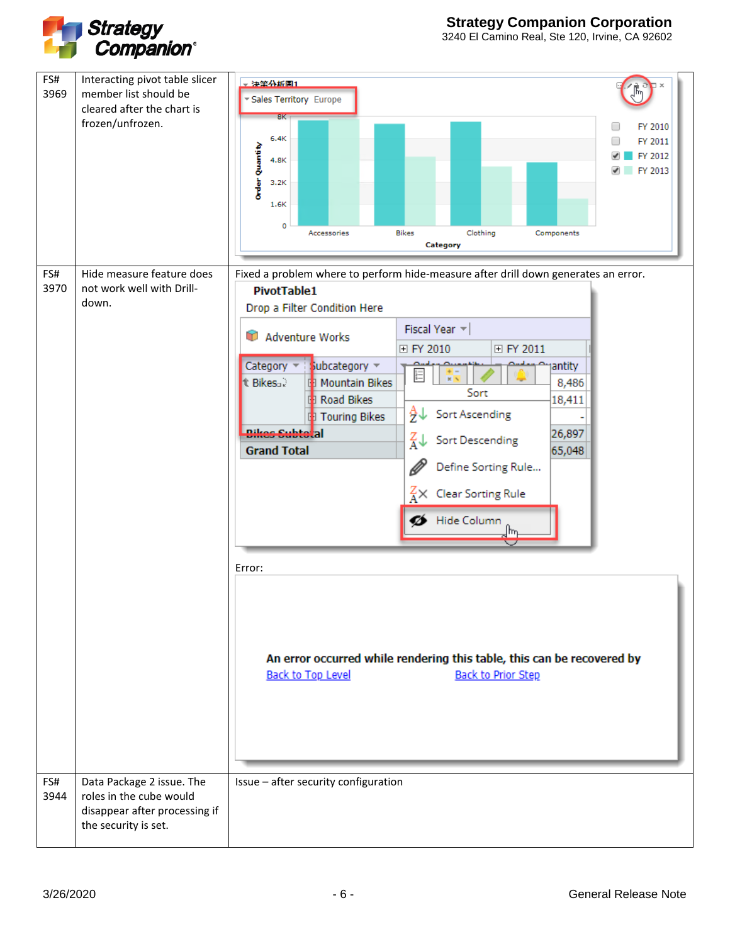

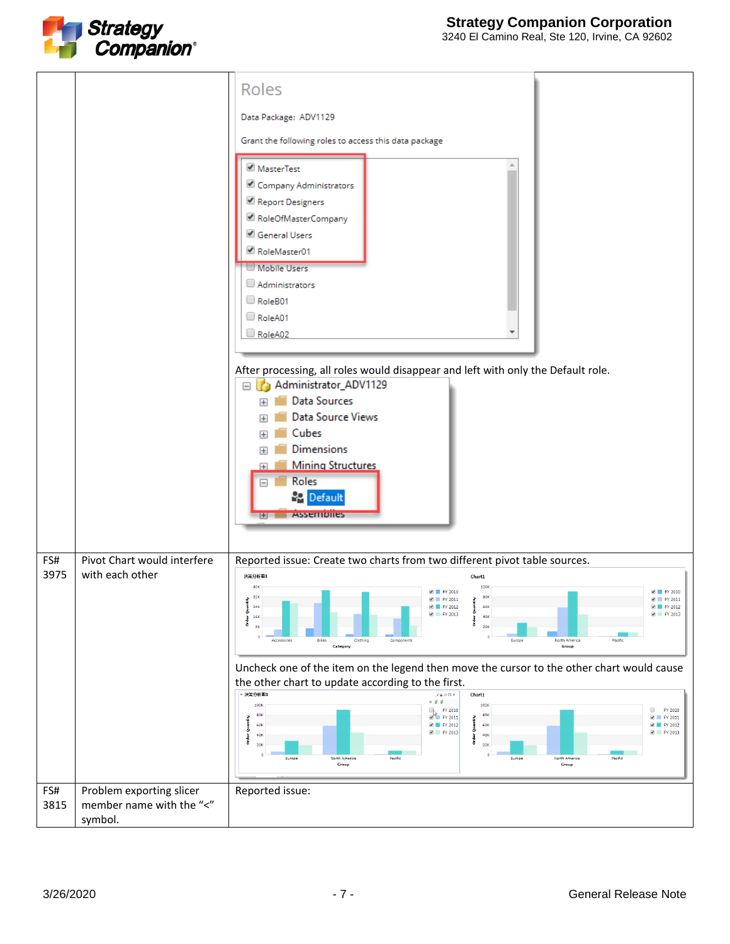

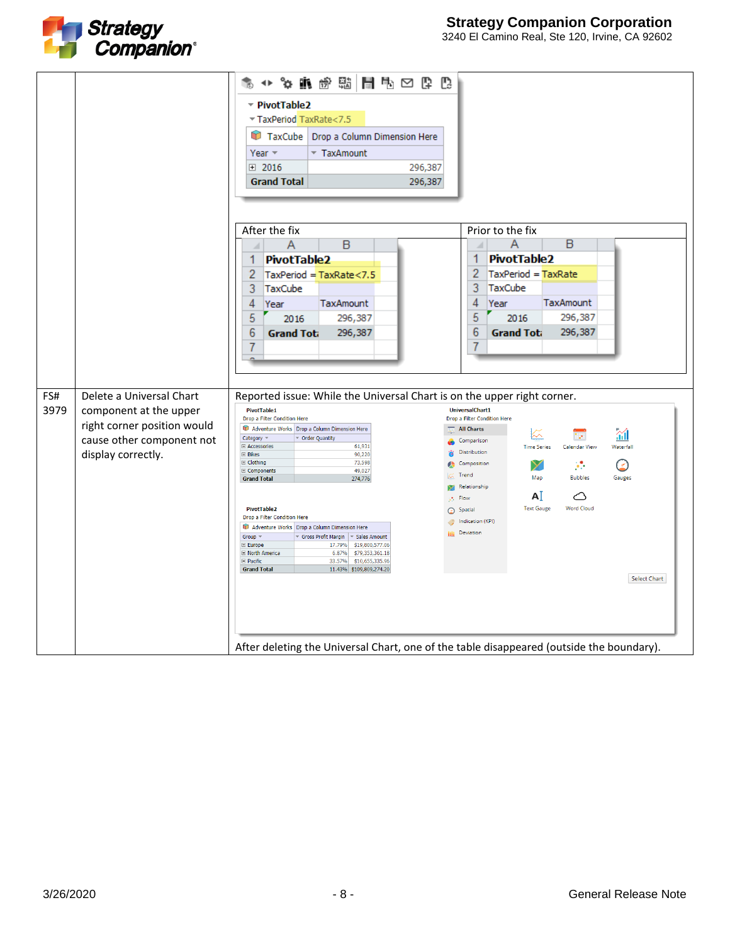

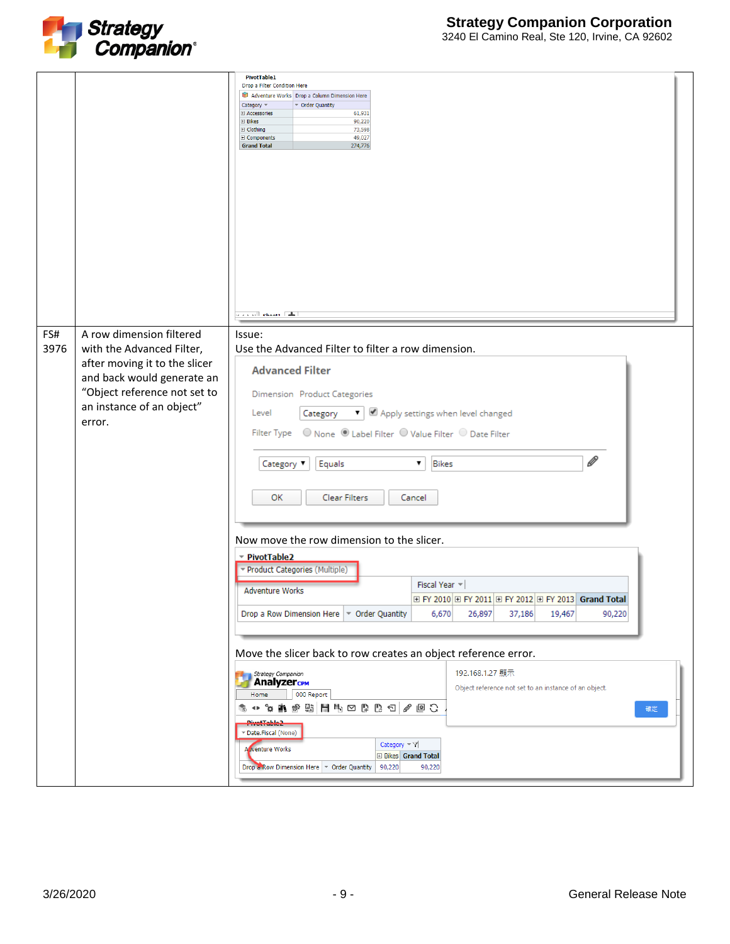

| 3240 El Camino Real, Ste 120, Irvine, CA 92602 |  |  |  |
|------------------------------------------------|--|--|--|

| FS#<br>3976 | A row dimension filtered<br>with the Advanced Filter,                                                                              | <b>PivotTable1</b><br>Drop a Filter Condition Here<br>Adventure Works Drop a Column Dimension Here<br>Category =<br>▼ Order Quantity<br>El Accessories<br>61,931<br>90,220<br>$\boxplus$ Bikes<br>73,598<br><b>El</b> Clothing<br>49,027<br><b>El Components</b><br>274,776<br><b>Grand Total</b><br>للسار ومتناه أأتدحك<br>Issue:<br>Use the Advanced Filter to filter a row dimension.                                                                                                                                                                                                                                                                                                                                                                                                                    |
|-------------|------------------------------------------------------------------------------------------------------------------------------------|-------------------------------------------------------------------------------------------------------------------------------------------------------------------------------------------------------------------------------------------------------------------------------------------------------------------------------------------------------------------------------------------------------------------------------------------------------------------------------------------------------------------------------------------------------------------------------------------------------------------------------------------------------------------------------------------------------------------------------------------------------------------------------------------------------------|
|             | after moving it to the slicer<br>and back would generate an<br>"Object reference not set to<br>an instance of an object"<br>error. | <b>Advanced Filter</b><br><b>Dimension</b> Product Categories<br>▼   Ø Apply settings when level changed<br>Level<br>Category<br>$\mathscr{Q}$<br>Equals<br><b>Bikes</b><br>Category <b>v</b><br>۷.<br>ОК<br>Clear Filters<br>Cancel                                                                                                                                                                                                                                                                                                                                                                                                                                                                                                                                                                        |
|             |                                                                                                                                    | Now move the row dimension to the slicer.<br>▼ PivotTable2<br>Product Categories (Multiple)<br>Fiscal Year $\mathbb{R}$<br><b>Adventure Works</b><br>$\boxplus$ FY 2010 $\boxplus$ FY 2011 $\boxplus$ FY 2012 $\boxplus$ FY 2013 $\,$ Grand Total $\,$<br>Drop a Row Dimension Here $\triangledown$ Order Quantity<br>6,670<br>19,467<br>90,220<br>26,897<br>37,186<br>Move the slicer back to row creates an object reference error.<br>192.168.1.27 顯示<br>Strategy Companion<br>AnalyzercPM<br>Object reference not set to an instance of an object.<br>000 Report<br>Home<br>6 + 4 A B H H H H H H H H + 4 B<br>確定<br>PivetTable2<br>Date.Fiscal (None)<br>Category $\neg \nabla$<br>Acventure Works<br><b>E Bikes Grand Total</b><br>Drop & Row Dimension Here   The Order Quantity<br>90,220<br>90,220 |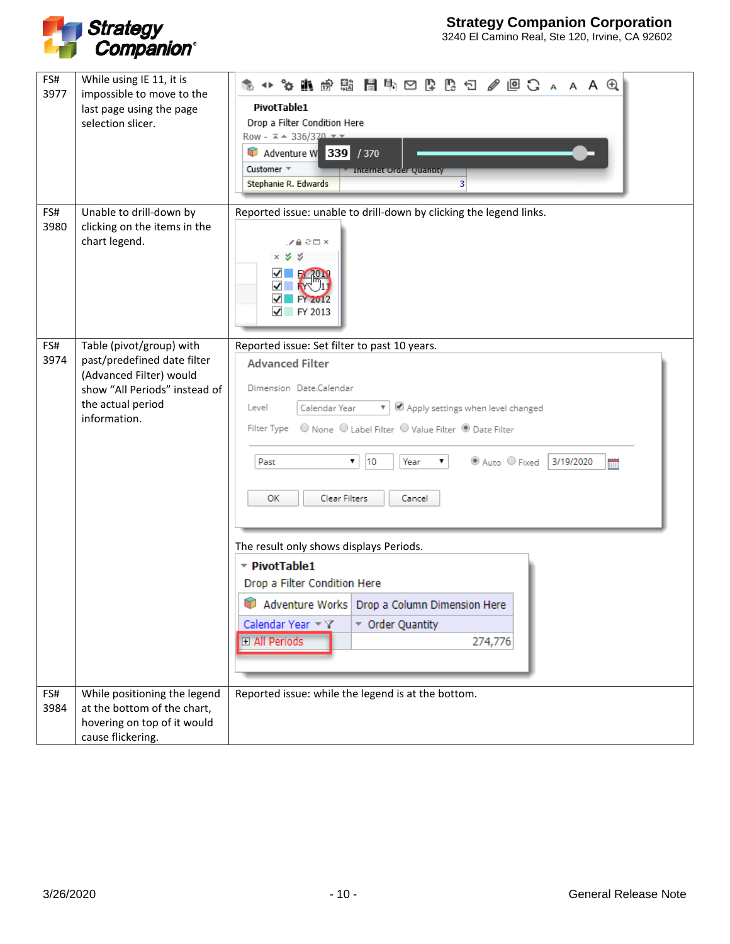

| FS#<br>3977 | While using IE 11, it is<br>impossible to move to the<br>last page using the page<br>selection slicer.                                                   | 第 ↔ ☆ ★ ★ ☆ # ★ # ★ № \$ \$ \$ ★ ☆ ★ ★ ★ ↑ ↑ ★ ★ ★ ↑ ↑ ★ ★ ★ ↑ ↑ ★ ★ ★ ↑ ↑ ★ ★ ★ ↓<br>PivotTable1<br>Drop a Filter Condition Here<br>Row - $\sqrt{x}$ + 336/370 $\sqrt{x}$<br>Adventure W 339 / 370<br>Customer =<br><b>Y</b> Internet Order Quantity<br>Stephanie R. Edwards<br>3                                                                                                                                                                                                                          |
|-------------|----------------------------------------------------------------------------------------------------------------------------------------------------------|-------------------------------------------------------------------------------------------------------------------------------------------------------------------------------------------------------------------------------------------------------------------------------------------------------------------------------------------------------------------------------------------------------------------------------------------------------------------------------------------------------------|
| FS#<br>3980 | Unable to drill-down by<br>clicking on the items in the<br>chart legend.                                                                                 | Reported issue: unable to drill-down by clicking the legend links.<br>∠≞≎⊟×<br>$\times$ $\times$ $\times$<br>✓<br><b>EX 2019</b><br><b>FY 2012</b><br>FY 2013<br>✓                                                                                                                                                                                                                                                                                                                                          |
| FS#<br>3974 | Table (pivot/group) with<br>past/predefined date filter<br>(Advanced Filter) would<br>show "All Periods" instead of<br>the actual period<br>information. | Reported issue: Set filter to past 10 years.<br><b>Advanced Filter</b><br>Dimension Date.Calendar<br>▼ Ø Apply settings when level changed<br>Level<br>Calendar Year<br>◎ Auto ○ Fixed<br>3/19/2020<br>۷.<br>10<br>Year<br>۷.<br>Past<br><b>MAR</b><br>Clear Filters<br>ОК<br>Cancel<br>The result only shows displays Periods.<br>PivotTable1<br>Drop a Filter Condition Here<br>Adventure Works Drop a Column Dimension Here<br>Calendar Year $\forall$ Y<br>▼ Order Quantity<br>□ All Periods<br>274,776 |
| FS#<br>3984 | While positioning the legend<br>at the bottom of the chart,<br>hovering on top of it would<br>cause flickering.                                          | Reported issue: while the legend is at the bottom.                                                                                                                                                                                                                                                                                                                                                                                                                                                          |